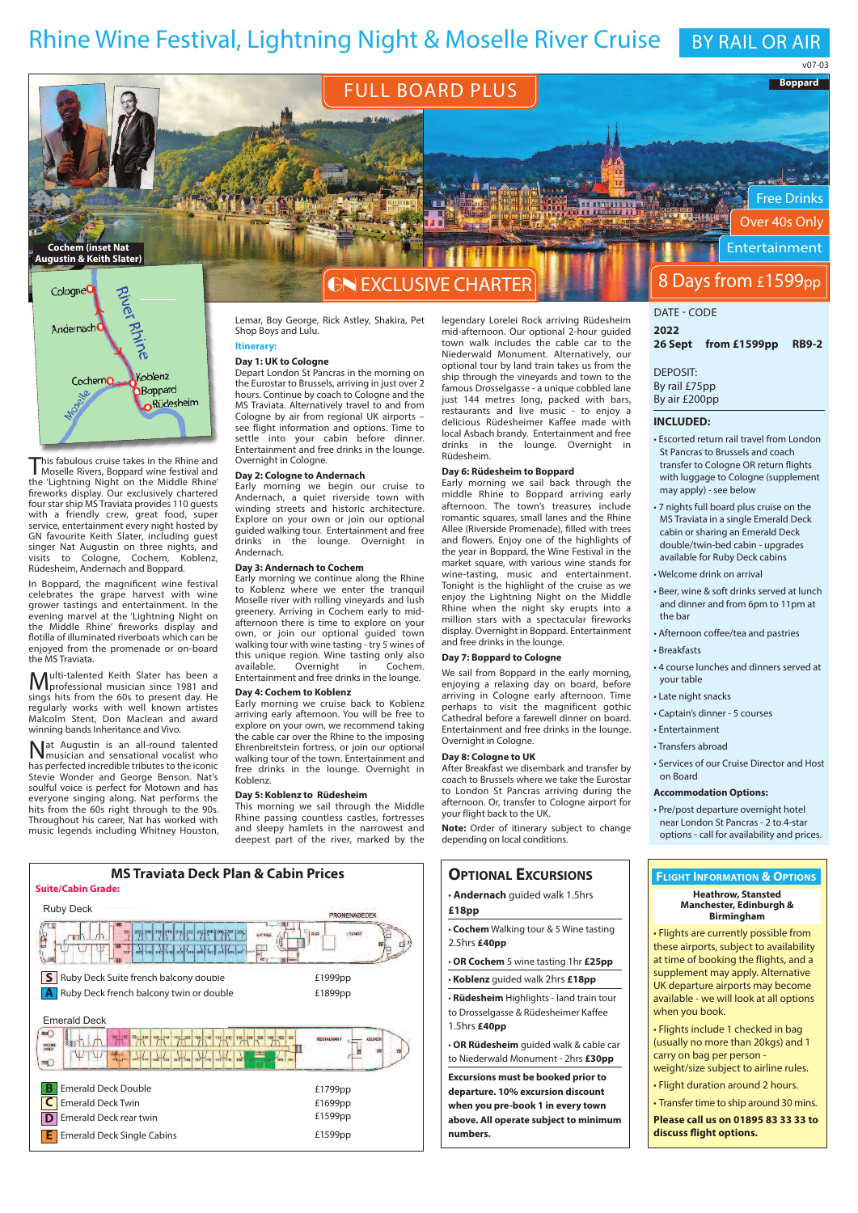# Rhine Wine Festival, Lightning Night & Moselle River Cruise BY RAIL OR AIR

**Boppard** v07-03

Free Drinks Over 40s Only Entertainment

高兴

## **FULL BOARD PLUS**



This fabulous cruise takes in the Rhine and Moselle Rivers, boppard wine festival and the 'lightning Night on the Middle Rhine' fireworks display. our exclusively chartered four star ship MS Traviata provides 110 guests with a friendly crew, great food, super service, entertainment every night hosted by GN favourite Keith Slater, including guest singer Nat Augustin on three nights, and<br>visits to Cologne, Cochem, Koblenz, visit in the cologne, Cochem, Rüdesheim, andernach and boppard.

in boppard, the magnificent wine festival celebrates the grape harvest with wine grower tastings and entertainment. in the evening marvel at the 'lightning Night on the Middle Rhine' fireworks display and flotilla of illuminated riverboats which can be enjoyed from the promenade or on-board the MS Traviata.

Multi-talented Keith Slater has been <sup>a</sup> professional musician since 1981 and sings hits from the 60s to present day. He regularly works with well known artistes Malcolm Stent, Don Maclean and award winning bands inheritance and Vivo.

Nat augustin is an all-round talented musician and sensational vocalist who has perfected incredible tributes to the iconic Stevie Wonder and George Benson. Nat's soulful voice is perfect for Motown and has everyone singing along. Nat performs the hits from the 60s right through to the 90s. Throughout his career, Nat has worked with music legends including Whitney Houston,

# GN EXClUSiVE CHaRTER

lemar, boy George, Rick astley, Shakira, Pet Shop Boys and Lulu. **itinerary:**

### **Day 1: uK to Cologne**

Depart london St Pancras in the morning on the Eurostar to brussels, arriving in just over 2 hours. Continue by coach to Cologne and the MS Traviata. alternatively travel to and from Cologne by air from regional UK airports – see flight information and options. Time to settle into your cabin before dinner. Entertainment and free drinks in the lounge. overnight in Cologne.

#### **Day 2: Cologne to Andernach**

Early morning we begin our cruise to andernach, a quiet riverside town with winding streets and historic architecture. Explore on your own or join our optional guided walking tour. Entertainment and free drinks in the lounge. overnight in andernach.

### **Day 3: Andernach to Cochem**

Early morning we continue along the Rhine to Koblenz where we enter the tranquil Moselle river with rolling vineyards and lush greenery. arriving in Cochem early to midafternoon there is time to explore on your own, or join our optional guided town walking tour with wine tasting - try 5 wines of walking to the time tasting only also<br>this unique region. Wine tasting only also<br>available. Overnight in Cochem. available.<br>Overnight Entertainment and free drinks in the lounge.

#### **Day 4: Cochem to Koblenz**

Early morning we cruise back to Koblenz arriving early afternoon. you will be free to explore on your own, we recommend taking the cable car over the Rhine to the imposing Ehrenbreitstein fortress, or join our optional walking tour of the town. Entertainment and free drinks in the lounge. Overnight in Koblenz.

### **Day 5: Koblenz to rüdesheim**

This morning we sail through the Middle Rhine passing countless castles, fortresses and sleepy hamlets in the narrowest and deepest part of the river, marked by the

legendary lorelei Rock arriving Rüdesheim mid-afternoon. our optional 2-hour guided town walk includes the cable car to the Niederwald Monument. alternatively, our optional tour by land train takes us from the ship through the vineyards and town to the famous Drosselgasse - a unique cobbled lane just 144 metres long, packed with bars, restaurants and live music - to enjoy a delicious Rüdesheimer Kaffee made with local Asbach brandy. Entertainment and free drinks in the lounge. Overnight Rüdesheim.

### **Day 6: rüdesheim to Boppard**

Early morning we sail back through the middle Rhine to boppard arriving early afternoon. The town's treasures include romantic squares, small lanes and the Rhine allee (Riverside Promenade), filled with trees and flowers. Enjoy one of the highlights of the year in boppard, the Wine Festival in the market square, with various wine stands for wine-tasting, music and entertainment. Tonight is the highlight of the cruise as we enjoy the lightning Night on the Middle Rhine when the night sky erupts into a million stars with a spectacular fireworks display. Overnight in Boppard. Entertainment and free drinks in the lounge.

### **Day 7: Boppard to Cologne**

We sail from Boppard in the early morning, enjoying a relaxing day on board, before arriving in Cologne early afternoon. Time perhaps to visit the magnificent gothic Cathedral before a farewell dinner on board. Entertainment and free drinks in the lounge. Overnight in Cologne.

#### **Day 8: Cologne to uK**

after breakfast we disembark and transfer by coach to brussels where we take the Eurostar to london St Pancras arriving during the afternoon. or, transfer to Cologne airport for your flight back to the UK.

**Note:** Order of itinerary subject to change depending on local conditions.

### **OPTiOnAl ExCurSiOnS**

- **Andernach** guided walk 1.5hrs
- **£18pp**
- **Cochem** Walking tour & 5 Wine tasting 2.5hrs **£40pp**
- **Or Cochem** 5 wine tasting 1hr **£25pp**
- **Koblenz** guided walk 2hrs **£18pp**
- **rüdesheim** Highlights land train tour to Drosselgasse & Rüdesheimer Kaffee
- 1.5hrs **£40pp**
- **Or rüdesheim** guided walk & cable car to Niederwald Monument - 2hrs **£30pp**

**Excursions must be booked prior to departure. 10% excursion discount when you pre-book 1 in every town above. All operate subject to minimum numbers.**

# 8 Days from £1599pp

### DaTE - CoDE

**2022 26 Sept from £1599pp rB9-2**

DEPoSiT: by rail £75pp by air £200pp

### **inCluDED:**

- Escorted return rail travel from london St Pancras to Brussels and coach transfer to Cologne OR return flights with luggage to Cologne (supplement may apply) - see below
- 7 nights full board plus cruise on the MS Traviata in a single Emerald Deck cabin or sharing an Emerald Deck double/twin-bed cabin - upgrades available for Ruby Deck cabins
- Welcome drink on arrival
- beer, wine & soft drinks served at lunch and dinner and from 6pm to 11pm at the bar
- afternoon coffee/tea and pastries
- Breakfasts
- 4 course lunches and dinners served at your table
- late night snacks
- Captain's dinner 5 courses
- Entertainment • Transfers abroad
- Services of our Cruise Director and Host on board

#### **Accommodation Options:**

• Pre/post departure overnight hotel near london St Pancras - 2 to 4-star options - call for availability and prices.

### **FliGHT inFOrMATiOn & OPTiOnS**

### **Heathrow, Stansted Manchester, Edinburgh & Birmingham**

• Flights are currently possible from these airports, subject to availability at time of booking the flights, and a supplement may apply. Alternative UK departure airports may become available - we will look at all options when you book.

• Flights include 1 checked in bag (usually no more than 20kgs) and 1 carry on bag per person -

- weight/size subject to airline rules. • Flight duration around 2 hours.
- Transfer time to ship around 30 mins.

**Please call us on 01895 83 33 33 to discuss flight options.**